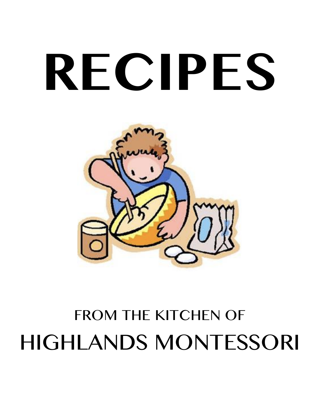# **RECIPES**



# FROM THE KITCHEN OF HIGHLANDS MONTESSORI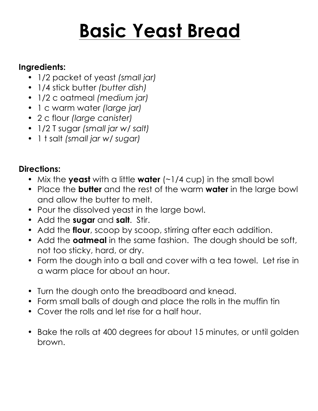# **Basic Yeast Bread**

#### **Ingredients:**

- 1/2 packet of yeast *(small jar)*
- 1/4 stick butter *(butter dish)*
- 1/2 c oatmeal *(medium jar)*
- 1 c warm water *(large jar)*
- 2 c flour *(large canister)*
- 1/2 T sugar *(small jar w/ salt)*
- 1 t salt *(small jar w/ sugar)*

- Mix the **yeast** with a little **water** (~1/4 cup) in the small bowl
- Place the **butter** and the rest of the warm **water** in the large bowl and allow the butter to melt.
- Pour the dissolved yeast in the large bowl.
- Add the **sugar** and **salt**. Stir.
- Add the **flour**, scoop by scoop, stirring after each addition.
- Add the **oatmeal** in the same fashion. The dough should be soft, not too sticky, hard, or dry.
- Form the dough into a ball and cover with a tea towel. Let rise in a warm place for about an hour.
- Turn the dough onto the breadboard and knead.
- Form small balls of dough and place the rolls in the muffin tin
- Cover the rolls and let rise for a half hour.
- Bake the rolls at 400 degrees for about 15 minutes, or until golden brown.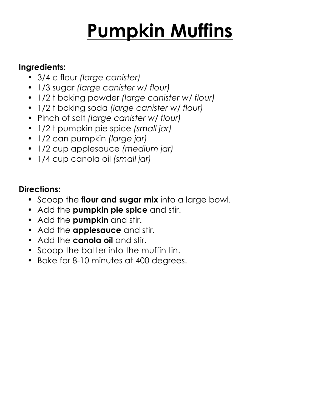# **Pumpkin Muffins**

#### **Ingredients:**

- 3/4 c flour *(large canister)*
- 1/3 sugar *(large canister w/ flour)*
- 1/2 t baking powder *(large canister w/ flour)*
- 1/2 t baking soda *(large canister w/ flour)*
- Pinch of salt *(large canister w/ flour)*
- 1/2 t pumpkin pie spice *(small jar)*
- 1/2 can pumpkin *(large jar)*
- 1/2 cup applesauce *(medium jar)*
- 1/4 cup canola oil *(small jar)*

- Scoop the **flour and sugar mix** into a large bowl.
- Add the **pumpkin pie spice** and stir.
- Add the **pumpkin** and stir.
- Add the **applesauce** and stir.
- Add the **canola oil** and stir.
- Scoop the batter into the muffin tin.
- Bake for 8-10 minutes at 400 degrees.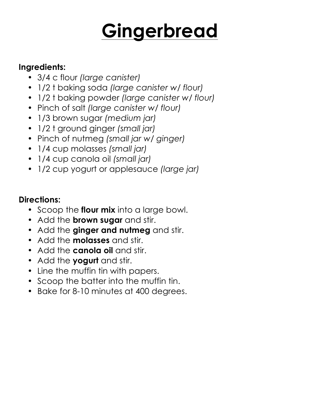# **Gingerbread**

#### **Ingredients:**

- 3/4 c flour *(large canister)*
- 1/2 t baking soda *(large canister w/ flour)*
- 1/2 t baking powder *(large canister w/ flour)*
- Pinch of salt *(large canister w/ flour)*
- 1/3 brown sugar *(medium jar)*
- 1/2 t ground ginger *(small jar)*
- Pinch of nutmeg *(small jar w/ ginger)*
- 1/4 cup molasses *(small jar)*
- 1/4 cup canola oil *(small jar)*
- 1/2 cup yogurt or applesauce *(large jar)*

- Scoop the **flour mix** into a large bowl.
- Add the **brown sugar** and stir.
- Add the **ginger and nutmeg** and stir.
- Add the **molasses** and stir.
- Add the **canola oil** and stir.
- Add the **yogurt** and stir.
- Line the muffin tin with papers.
- Scoop the batter into the muffin tin.
- Bake for 8-10 minutes at 400 degrees.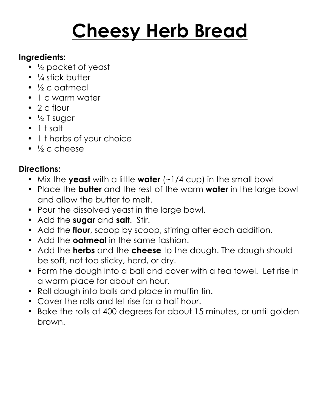# **Cheesy Herb Bread**

#### **Ingredients:**

- ½ packet of yeast
- $\bullet$   $\frac{1}{4}$  stick butter
- ½ c oatmeal
- 1 c warm water
- 2 c flour
- $\bullet\ \frac{1}{2}$  T sugar
- 1 t salt
- 1 t herbs of your choice
- $\bullet$   $\frac{1}{2}$  c cheese

- Mix the **yeast** with a little **water** (~1/4 cup) in the small bowl
- Place the **butter** and the rest of the warm **water** in the large bowl and allow the butter to melt.
- Pour the dissolved yeast in the large bowl.
- Add the **sugar** and **salt**. Stir.
- Add the **flour**, scoop by scoop, stirring after each addition.
- Add the **oatmeal** in the same fashion.
- Add the **herbs** and the **cheese** to the dough. The dough should be soft, not too sticky, hard, or dry.
- Form the dough into a ball and cover with a tea towel. Let rise in a warm place for about an hour.
- Roll dough into balls and place in muffin tin.
- Cover the rolls and let rise for a half hour.
- Bake the rolls at 400 degrees for about 15 minutes, or until golden brown.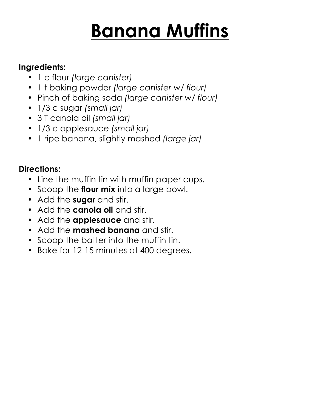# **Banana Muffins**

#### **Ingredients:**

- 1 c flour *(large canister)*
- 1 t baking powder *(large canister w/ flour)*
- Pinch of baking soda *(large canister w/ flour)*
- 1/3 c sugar *(small jar)*
- 3 T canola oil *(small jar)*
- 1/3 c applesauce *(small jar)*
- 1 ripe banana, slightly mashed *(large jar)*

- Line the muffin tin with muffin paper cups.
- Scoop the **flour mix** into a large bowl.
- Add the **sugar** and stir.
- Add the **canola oil** and stir.
- Add the **applesauce** and stir.
- Add the **mashed banana** and stir.
- Scoop the batter into the muffin tin.
- Bake for 12-15 minutes at 400 degrees.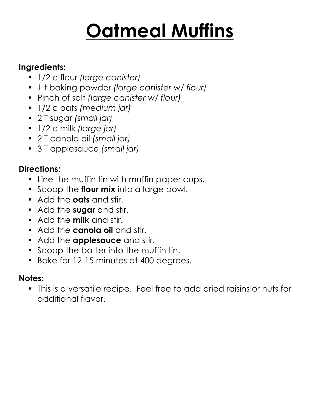# **Oatmeal Muffins**

#### **Ingredients:**

- 1/2 c flour *(large canister)*
- 1 t baking powder *(large canister w/ flour)*
- Pinch of salt *(large canister w/ flour)*
- 1/2 c oats *(medium jar)*
- 2 T sugar *(small jar)*
- 1/2 c milk *(large jar)*
- 2 T canola oil *(small jar)*
- 3 T applesauce *(small jar)*

### **Directions:**

- Line the muffin tin with muffin paper cups.
- Scoop the **flour mix** into a large bowl.
- Add the **oats** and stir.
- Add the **sugar** and stir.
- Add the **milk** and stir.
- Add the **canola oil** and stir.
- Add the **applesauce** and stir.
- Scoop the batter into the muffin tin.
- Bake for 12-15 minutes at 400 degrees.

### **Notes:**

• This is a versatile recipe. Feel free to add dried raisins or nuts for additional flavor.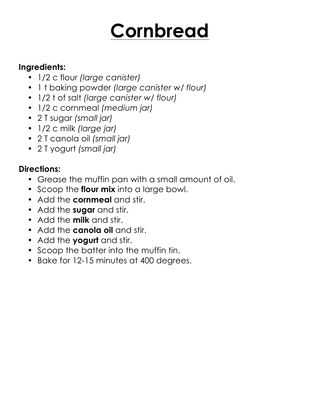# **Cornbread**

#### **Ingredients:**

- 1/2 c flour *(large canister)*
- 1 t baking powder *(large canister w/ flour)*
- 1/2 t of salt *(large canister w/ flour)*
- 1/2 c cornmeal *(medium jar)*
- 2 T sugar *(small jar)*
- 1/2 c milk *(large jar)*
- 2 T canola oil *(small jar)*
- 2 T yogurt *(small jar)*

- Grease the muffin pan with a small amount of oil.
- Scoop the **flour mix** into a large bowl.
- Add the **cornmeal** and stir.
- Add the **sugar** and stir.
- Add the **milk** and stir.
- Add the **canola oil** and stir.
- Add the **yogurt** and stir.
- Scoop the batter into the muffin tin.
- Bake for 12-15 minutes at 400 degrees.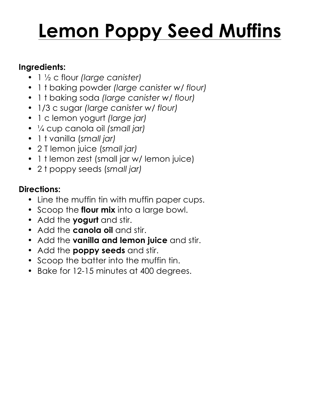# **Lemon Poppy Seed Muffins**

#### **Ingredients:**

- 1 ½ c flour *(large canister)*
- 1 t baking powder *(large canister w/ flour)*
- 1 t baking soda *(large canister w/ flour)*
- 1/3 c sugar *(large canister w/ flour)*
- 1 c lemon yogurt *(large jar)*
- ¼ cup canola oil *(small jar)*
- 1 t vanilla (*small jar)*
- 2 T lemon juice (*small jar)*
- 1 t lemon zest (small jar w/ lemon juice)
- 2 t poppy seeds (*small jar)*

- Line the muffin tin with muffin paper cups.
- Scoop the **flour mix** into a large bowl.
- Add the **yogurt** and stir.
- Add the **canola oil** and stir.
- Add the **vanilla and lemon juice** and stir.
- Add the **poppy seeds** and stir.
- Scoop the batter into the muffin tin.
- Bake for 12-15 minutes at 400 degrees.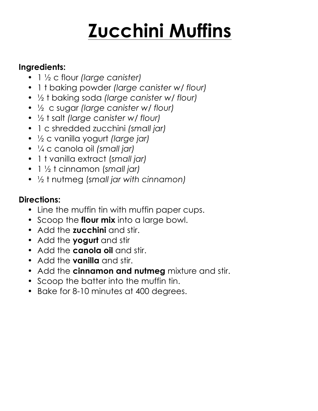# **Zucchini Muffins**

#### **Ingredients:**

- 1 ½ c flour *(large canister)*
- 1 t baking powder *(large canister w/ flour)*
- ½ t baking soda *(large canister w/ flour)*
- ½ c sugar *(large canister w/ flour)*
- ½ t salt *(large canister w/ flour)*
- 1 c shredded zucchini *(small jar)*
- ½ c vanilla yogurt *(large jar)*
- ¼ c canola oil *(small jar)*
- 1 t vanilla extract (*small jar)*
- 1 ½ t cinnamon (*small jar)*
- ½ t nutmeg (*small jar with cinnamon)*

- Line the muffin tin with muffin paper cups.
- Scoop the **flour mix** into a large bowl.
- Add the **zucchini** and stir.
- Add the **yogurt** and stir
- Add the **canola oil** and stir.
- Add the **vanilla** and stir.
- Add the **cinnamon and nutmeg** mixture and stir.
- Scoop the batter into the muffin tin.
- Bake for 8-10 minutes at 400 degrees.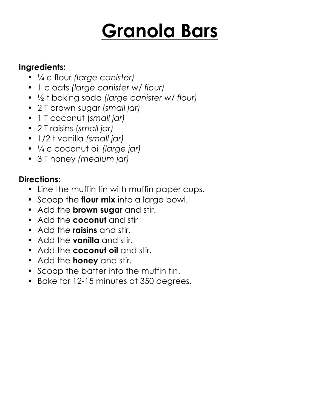# **Granola Bars**

#### **Ingredients:**

- ¼ c flour *(large canister)*
- 1 c oats *(large canister w/ flour)*
- ½ t baking soda *(large canister w/ flour)*
- 2 T brown sugar (*small jar)*
- 1 T coconut (*small jar)*
- 2 T raisins (*small jar)*
- 1/2 t vanilla *(small jar)*
- ¼ c coconut oil *(large jar)*
- 3 T honey *(medium jar)*

- Line the muffin tin with muffin paper cups.
- Scoop the **flour mix** into a large bowl.
- Add the **brown sugar** and stir.
- Add the **coconut** and stir
- Add the **raisins** and stir.
- Add the **vanilla** and stir.
- Add the **coconut oil** and stir.
- Add the **honey** and stir.
- Scoop the batter into the muffin tin.
- Bake for 12-15 minutes at 350 degrees.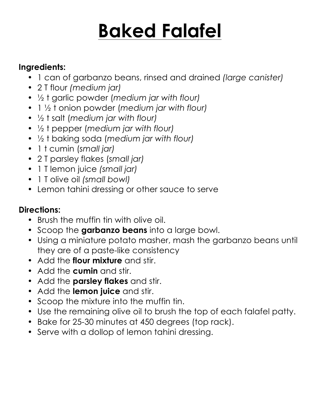# **Baked Falafel**

### **Ingredients:**

- 1 can of garbanzo beans, rinsed and drained *(large canister)*
- 2 T flour *(medium jar)*
- ½ t garlic powder (*medium jar with flour)*
- 1 ½ t onion powder (*medium jar with flour)*
- ½ t salt (*medium jar with flour)*
- ½ t pepper (*medium jar with flour)*
- ½ t baking soda (*medium jar with flour)*
- 1 t cumin (*small jar)*
- 2 T parsley flakes (*small jar)*
- 1 T lemon juice *(small jar)*
- 1 T olive oil *(small bowl)*
- Lemon tahini dressing or other sauce to serve

- Brush the muffin tin with olive oil.
- Scoop the **garbanzo beans** into a large bowl.
- Using a miniature potato masher, mash the garbanzo beans until they are of a paste-like consistency
- Add the **flour mixture** and stir.
- Add the **cumin** and stir.
- Add the **parsley flakes** and stir.
- Add the **lemon juice** and stir.
- Scoop the mixture into the muffin tin.
- Use the remaining olive oil to brush the top of each falafel patty.
- Bake for 25-30 minutes at 450 degrees (top rack).
- Serve with a dollop of lemon tahini dressing.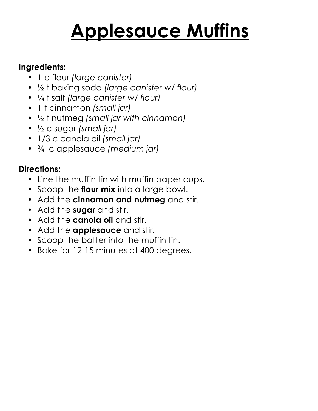# **Applesauce Muffins**

#### **Ingredients:**

- 1 c flour *(large canister)*
- ½ t baking soda *(large canister w/ flour)*
- ¼ t salt *(large canister w/ flour)*
- 1 t cinnamon *(small jar)*
- ½ t nutmeg *(small jar with cinnamon)*
- ½ c sugar *(small jar)*
- 1/3 c canola oil *(small jar)*
- ¾ c applesauce *(medium jar)*

- Line the muffin tin with muffin paper cups.
- Scoop the **flour mix** into a large bowl.
- Add the **cinnamon and nutmeg** and stir.
- Add the **sugar** and stir.
- Add the **canola oil** and stir.
- Add the **applesauce** and stir.
- Scoop the batter into the muffin tin.
- Bake for 12-15 minutes at 400 degrees.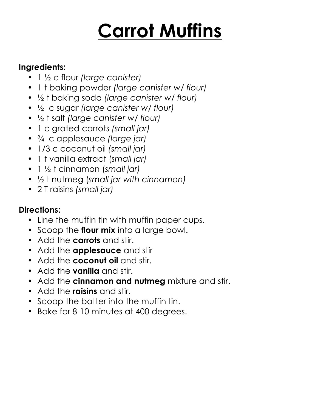# **Carrot Muffins**

#### **Ingredients:**

- 1 ½ c flour *(large canister)*
- 1 t baking powder *(large canister w/ flour)*
- ½ t baking soda *(large canister w/ flour)*
- ½ c sugar *(large canister w/ flour)*
- ½ t salt *(large canister w/ flour)*
- 1 c grated carrots *(small jar)*
- ¾ c applesauce *(large jar)*
- 1/3 c coconut oil *(small jar)*
- 1 t vanilla extract (*small jar)*
- 1 ½ t cinnamon (*small jar)*
- ½ t nutmeg (*small jar with cinnamon)*
- 2 T raisins *(small jar)*

- Line the muffin tin with muffin paper cups.
- Scoop the **flour mix** into a large bowl.
- Add the **carrots** and stir.
- Add the **applesauce** and stir
- Add the **coconut oil** and stir.
- Add the **vanilla** and stir.
- Add the **cinnamon and nutmeg** mixture and stir.
- Add the **raisins** and stir.
- Scoop the batter into the muffin tin.
- Bake for 8-10 minutes at 400 degrees.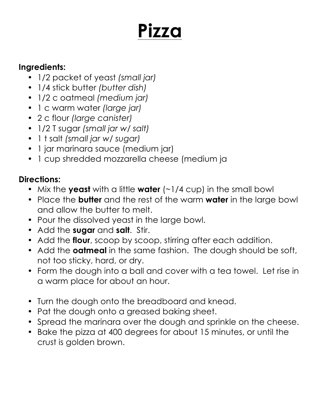# **Pizza**

#### **Ingredients:**

- 1/2 packet of yeast *(small jar)*
- 1/4 stick butter *(butter dish)*
- 1/2 c oatmeal *(medium jar)*
- 1 c warm water *(large jar)*
- 2 c flour *(large canister)*
- 1/2 T sugar *(small jar w/ salt)*
- 1 t salt *(small jar w/ sugar)*
- 1 jar marinara sauce (medium jar)
- 1 cup shredded mozzarella cheese (medium ja

- Mix the **yeast** with a little **water** (~1/4 cup) in the small bowl
- Place the **butter** and the rest of the warm **water** in the large bowl and allow the butter to melt.
- Pour the dissolved yeast in the large bowl.
- Add the **sugar** and **salt**. Stir.
- Add the **flour**, scoop by scoop, stirring after each addition.
- Add the **oatmeal** in the same fashion. The dough should be soft, not too sticky, hard, or dry.
- Form the dough into a ball and cover with a tea towel. Let rise in a warm place for about an hour.
- Turn the dough onto the breadboard and knead.
- Pat the dough onto a greased baking sheet.
- Spread the marinara over the dough and sprinkle on the cheese.
- Bake the pizza at 400 degrees for about 15 minutes, or until the crust is golden brown.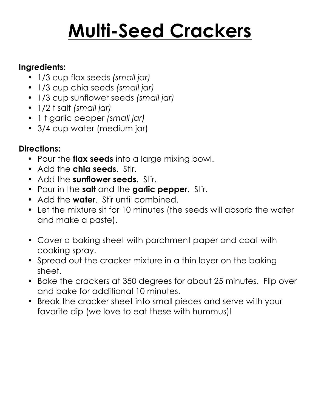# **Multi-Seed Crackers**

#### **Ingredients:**

- 1/3 cup flax seeds *(small jar)*
- 1/3 cup chia seeds *(small jar)*
- 1/3 cup sunflower seeds *(small jar)*
- 1/2 t salt *(small jar)*
- 1 t garlic pepper *(small jar)*
- 3/4 cup water (medium jar)

- Pour the **flax seeds** into a large mixing bowl.
- Add the **chia seeds**. Stir.
- Add the **sunflower seeds**. Stir.
- Pour in the **salt** and the **garlic pepper**. Stir.
- Add the **water**. Stir until combined.
- Let the mixture sit for 10 minutes (the seeds will absorb the water and make a paste).
- Cover a baking sheet with parchment paper and coat with cooking spray.
- Spread out the cracker mixture in a thin layer on the baking sheet.
- Bake the crackers at 350 degrees for about 25 minutes. Flip over and bake for additional 10 minutes.
- Break the cracker sheet into small pieces and serve with your favorite dip (we love to eat these with hummus)!